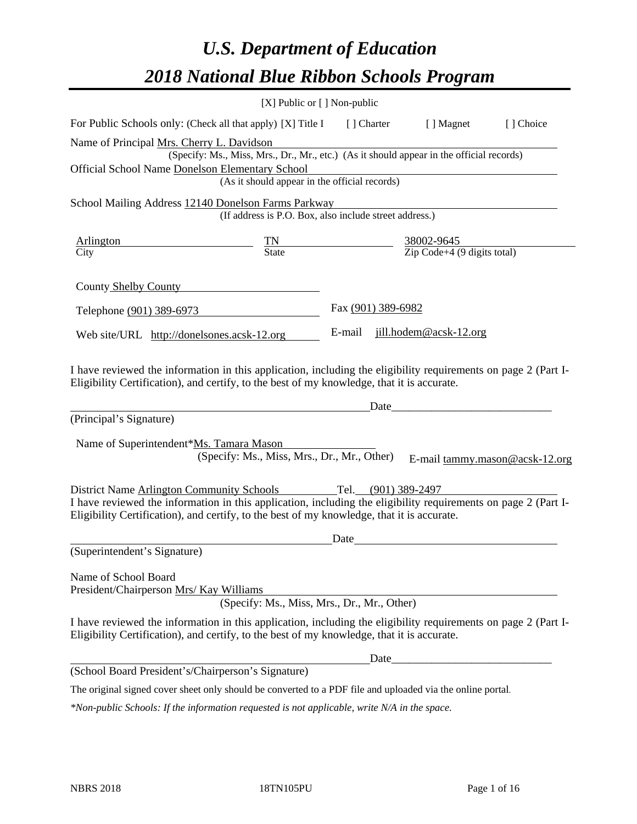# *U.S. Department of Education 2018 National Blue Ribbon Schools Program*

|                                                                                                                                                                                                              | [X] Public or [] Non-public                                                              |                                                         |                     |                        |                                |
|--------------------------------------------------------------------------------------------------------------------------------------------------------------------------------------------------------------|------------------------------------------------------------------------------------------|---------------------------------------------------------|---------------------|------------------------|--------------------------------|
| For Public Schools only: (Check all that apply) [X] Title I                                                                                                                                                  |                                                                                          |                                                         | [ ] Charter         | [ ] Magnet             | [] Choice                      |
| Name of Principal Mrs. Cherry L. Davidson                                                                                                                                                                    | (Specify: Ms., Miss, Mrs., Dr., Mr., etc.) (As it should appear in the official records) |                                                         |                     |                        |                                |
| Official School Name Donelson Elementary School                                                                                                                                                              | (As it should appear in the official records)                                            |                                                         |                     |                        |                                |
| School Mailing Address 12140 Donelson Farms Parkway                                                                                                                                                          |                                                                                          |                                                         |                     |                        |                                |
|                                                                                                                                                                                                              | (If address is P.O. Box, also include street address.)                                   |                                                         |                     |                        |                                |
| <b>Arlington</b>                                                                                                                                                                                             | $\frac{TN}{State}$                                                                       | $\frac{38002-9645}{\text{Zip Code}+4 (9 digits total)}$ |                     |                        |                                |
| City                                                                                                                                                                                                         |                                                                                          |                                                         |                     |                        |                                |
| County Shelby County                                                                                                                                                                                         |                                                                                          |                                                         |                     |                        |                                |
| Telephone (901) 389-6973                                                                                                                                                                                     |                                                                                          |                                                         | Fax (901) 389-6982  |                        |                                |
| Web site/URL http://donelsones.acsk-12.org                                                                                                                                                                   |                                                                                          | E-mail                                                  |                     | jill.hodem@acsk-12.org |                                |
| Eligibility Certification), and certify, to the best of my knowledge, that it is accurate.<br>(Principal's Signature)<br>Name of Superintendent*Ms. Tamara Mason                                             | (Specify: Ms., Miss, Mrs., Dr., Mr., Other)                                              |                                                         | Date                |                        | E-mail tammy.mason@acsk-12.org |
| <b>District Name Arlington Community Schools</b>                                                                                                                                                             |                                                                                          |                                                         | Tel. (901) 389-2497 |                        |                                |
| I have reviewed the information in this application, including the eligibility requirements on page 2 (Part I-<br>Eligibility Certification), and certify, to the best of my knowledge, that it is accurate. |                                                                                          |                                                         |                     |                        |                                |
|                                                                                                                                                                                                              |                                                                                          | Date                                                    |                     |                        |                                |
| (Superintendent's Signature)                                                                                                                                                                                 |                                                                                          |                                                         |                     |                        |                                |
| Name of School Board<br>President/Chairperson Mrs/ Kay Williams                                                                                                                                              | (Specify: Ms., Miss, Mrs., Dr., Mr., Other)                                              |                                                         |                     |                        |                                |
| I have reviewed the information in this application, including the eligibility requirements on page 2 (Part I-<br>Eligibility Certification), and certify, to the best of my knowledge, that it is accurate. |                                                                                          |                                                         |                     |                        |                                |
|                                                                                                                                                                                                              |                                                                                          |                                                         | Date                |                        |                                |
| (School Board President's/Chairperson's Signature)                                                                                                                                                           |                                                                                          |                                                         |                     |                        |                                |
| The original signed cover sheet only should be converted to a PDF file and uploaded via the online portal.                                                                                                   |                                                                                          |                                                         |                     |                        |                                |

*\*Non-public Schools: If the information requested is not applicable, write N/A in the space.*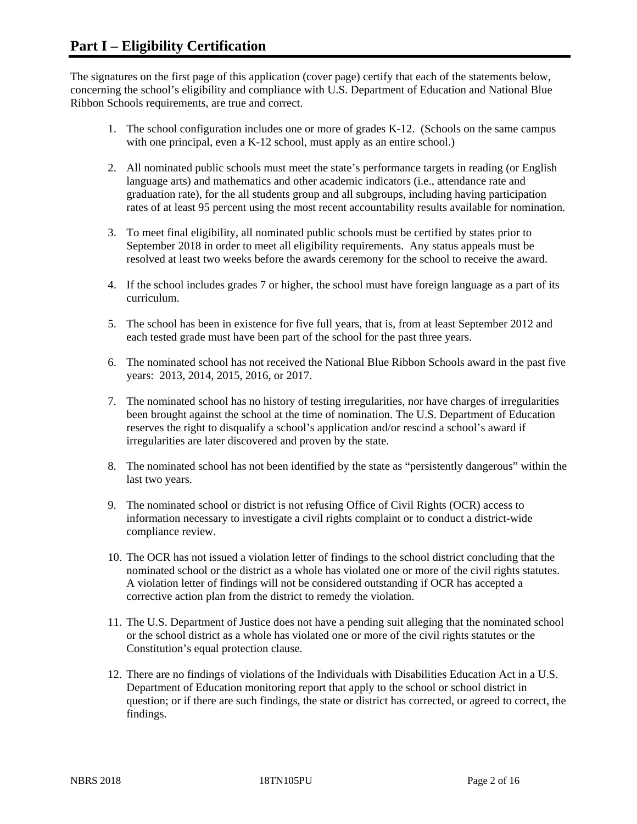The signatures on the first page of this application (cover page) certify that each of the statements below, concerning the school's eligibility and compliance with U.S. Department of Education and National Blue Ribbon Schools requirements, are true and correct.

- 1. The school configuration includes one or more of grades K-12. (Schools on the same campus with one principal, even a K-12 school, must apply as an entire school.)
- 2. All nominated public schools must meet the state's performance targets in reading (or English language arts) and mathematics and other academic indicators (i.e., attendance rate and graduation rate), for the all students group and all subgroups, including having participation rates of at least 95 percent using the most recent accountability results available for nomination.
- 3. To meet final eligibility, all nominated public schools must be certified by states prior to September 2018 in order to meet all eligibility requirements. Any status appeals must be resolved at least two weeks before the awards ceremony for the school to receive the award.
- 4. If the school includes grades 7 or higher, the school must have foreign language as a part of its curriculum.
- 5. The school has been in existence for five full years, that is, from at least September 2012 and each tested grade must have been part of the school for the past three years.
- 6. The nominated school has not received the National Blue Ribbon Schools award in the past five years: 2013, 2014, 2015, 2016, or 2017.
- 7. The nominated school has no history of testing irregularities, nor have charges of irregularities been brought against the school at the time of nomination. The U.S. Department of Education reserves the right to disqualify a school's application and/or rescind a school's award if irregularities are later discovered and proven by the state.
- 8. The nominated school has not been identified by the state as "persistently dangerous" within the last two years.
- 9. The nominated school or district is not refusing Office of Civil Rights (OCR) access to information necessary to investigate a civil rights complaint or to conduct a district-wide compliance review.
- 10. The OCR has not issued a violation letter of findings to the school district concluding that the nominated school or the district as a whole has violated one or more of the civil rights statutes. A violation letter of findings will not be considered outstanding if OCR has accepted a corrective action plan from the district to remedy the violation.
- 11. The U.S. Department of Justice does not have a pending suit alleging that the nominated school or the school district as a whole has violated one or more of the civil rights statutes or the Constitution's equal protection clause.
- 12. There are no findings of violations of the Individuals with Disabilities Education Act in a U.S. Department of Education monitoring report that apply to the school or school district in question; or if there are such findings, the state or district has corrected, or agreed to correct, the findings.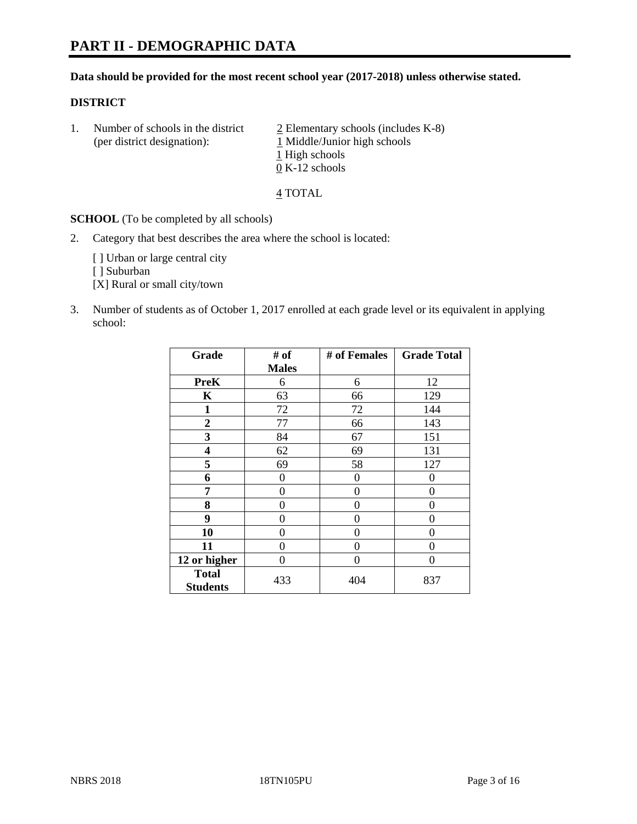# **PART II - DEMOGRAPHIC DATA**

### **Data should be provided for the most recent school year (2017-2018) unless otherwise stated.**

### **DISTRICT**

1. Number of schools in the district  $\frac{2}{2}$  Elementary schools (includes K-8) (per district designation): 1 Middle/Junior high schools 1 High schools 0 K-12 schools

4 TOTAL

**SCHOOL** (To be completed by all schools)

2. Category that best describes the area where the school is located:

[] Urban or large central city

[ ] Suburban

[X] Rural or small city/town

3. Number of students as of October 1, 2017 enrolled at each grade level or its equivalent in applying school:

| Grade                           | # of         | # of Females | <b>Grade Total</b> |
|---------------------------------|--------------|--------------|--------------------|
|                                 | <b>Males</b> |              |                    |
| <b>PreK</b>                     | 6            | 6            | 12                 |
| $\mathbf K$                     | 63           | 66           | 129                |
| $\mathbf{1}$                    | 72           | 72           | 144                |
| $\overline{2}$                  | 77           | 66           | 143                |
| 3                               | 84           | 67           | 151                |
| $\overline{\mathbf{4}}$         | 62           | 69           | 131                |
| 5                               | 69           | 58           | 127                |
| 6                               | 0            | $\theta$     | 0                  |
| 7                               | 0            | $\theta$     | 0                  |
| 8                               | 0            | $\theta$     | 0                  |
| 9                               | 0            | $\theta$     | 0                  |
| 10                              | 0            | 0            | 0                  |
| 11                              | 0            | 0            | 0                  |
| 12 or higher                    | 0            | 0            | 0                  |
| <b>Total</b><br><b>Students</b> | 433          | 404          | 837                |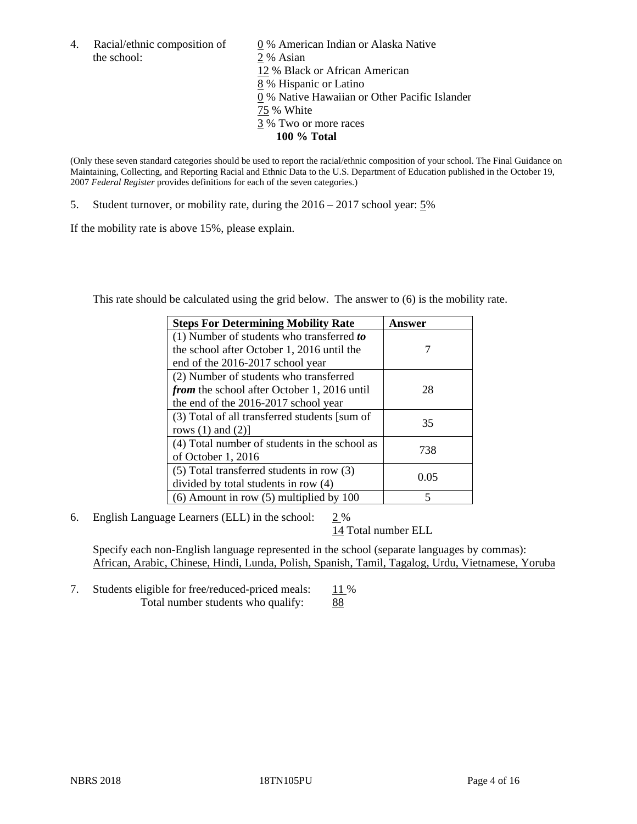the school: 2 % Asian

4. Racial/ethnic composition of  $\qquad 0\%$  American Indian or Alaska Native 12 % Black or African American 8 % Hispanic or Latino 0 % Native Hawaiian or Other Pacific Islander 75 % White 3 % Two or more races **100 % Total**

(Only these seven standard categories should be used to report the racial/ethnic composition of your school. The Final Guidance on Maintaining, Collecting, and Reporting Racial and Ethnic Data to the U.S. Department of Education published in the October 19, 2007 *Federal Register* provides definitions for each of the seven categories.)

5. Student turnover, or mobility rate, during the 2016 – 2017 school year: 5%

If the mobility rate is above 15%, please explain.

This rate should be calculated using the grid below. The answer to (6) is the mobility rate.

| <b>Steps For Determining Mobility Rate</b>         | Answer |
|----------------------------------------------------|--------|
| (1) Number of students who transferred to          |        |
| the school after October 1, 2016 until the         |        |
| end of the 2016-2017 school year                   |        |
| (2) Number of students who transferred             |        |
| <i>from</i> the school after October 1, 2016 until | 28     |
| the end of the 2016-2017 school year               |        |
| (3) Total of all transferred students [sum of      | 35     |
| rows $(1)$ and $(2)$ ]                             |        |
| (4) Total number of students in the school as      | 738    |
| of October 1, 2016                                 |        |
| (5) Total transferred students in row (3)          | 0.05   |
| divided by total students in row (4)               |        |
| $(6)$ Amount in row $(5)$ multiplied by 100        | 5      |

6. English Language Learners (ELL) in the school:  $2\%$ 

14 Total number ELL

Specify each non-English language represented in the school (separate languages by commas): African, Arabic, Chinese, Hindi, Lunda, Polish, Spanish, Tamil, Tagalog, Urdu, Vietnamese, Yoruba

7. Students eligible for free/reduced-priced meals:  $\frac{11\%}{88}$  Total number students who qualify: 88 Total number students who qualify: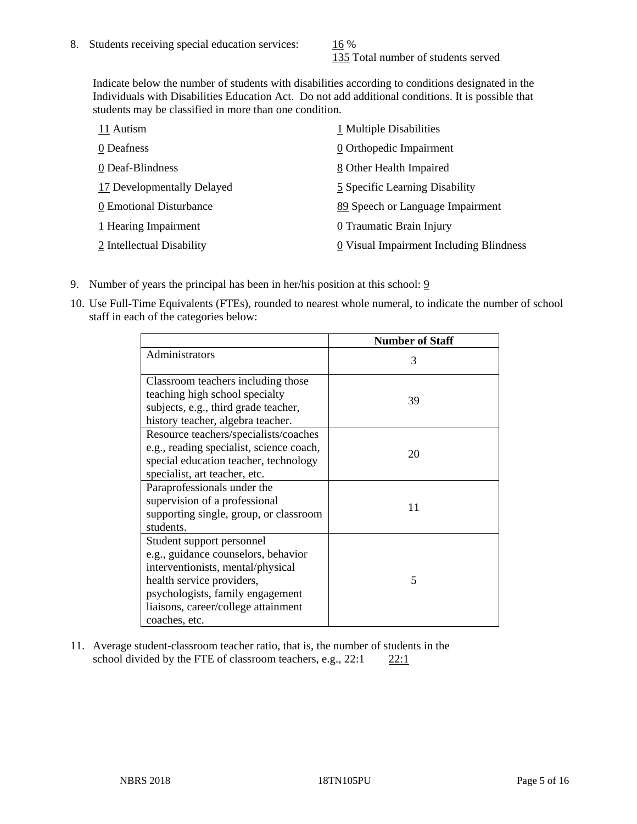135 Total number of students served

Indicate below the number of students with disabilities according to conditions designated in the Individuals with Disabilities Education Act. Do not add additional conditions. It is possible that students may be classified in more than one condition.

| 11 Autism                  | 1 Multiple Disabilities                 |
|----------------------------|-----------------------------------------|
| 0 Deafness                 | 0 Orthopedic Impairment                 |
| 0 Deaf-Blindness           | 8 Other Health Impaired                 |
| 17 Developmentally Delayed | 5 Specific Learning Disability          |
| 0 Emotional Disturbance    | 89 Speech or Language Impairment        |
| 1 Hearing Impairment       | 0 Traumatic Brain Injury                |
| 2 Intellectual Disability  | 0 Visual Impairment Including Blindness |

- 9. Number of years the principal has been in her/his position at this school:  $9$
- 10. Use Full-Time Equivalents (FTEs), rounded to nearest whole numeral, to indicate the number of school staff in each of the categories below:

|                                                                                                                                                                                                                                | <b>Number of Staff</b> |
|--------------------------------------------------------------------------------------------------------------------------------------------------------------------------------------------------------------------------------|------------------------|
| Administrators                                                                                                                                                                                                                 | 3                      |
| Classroom teachers including those<br>teaching high school specialty<br>subjects, e.g., third grade teacher,<br>history teacher, algebra teacher.                                                                              | 39                     |
| Resource teachers/specialists/coaches<br>e.g., reading specialist, science coach,<br>special education teacher, technology<br>specialist, art teacher, etc.                                                                    | 20                     |
| Paraprofessionals under the<br>supervision of a professional<br>supporting single, group, or classroom<br>students.                                                                                                            | 11                     |
| Student support personnel<br>e.g., guidance counselors, behavior<br>interventionists, mental/physical<br>health service providers,<br>psychologists, family engagement<br>liaisons, career/college attainment<br>coaches, etc. | 5                      |

11. Average student-classroom teacher ratio, that is, the number of students in the school divided by the FTE of classroom teachers, e.g.,  $22:1$  22:1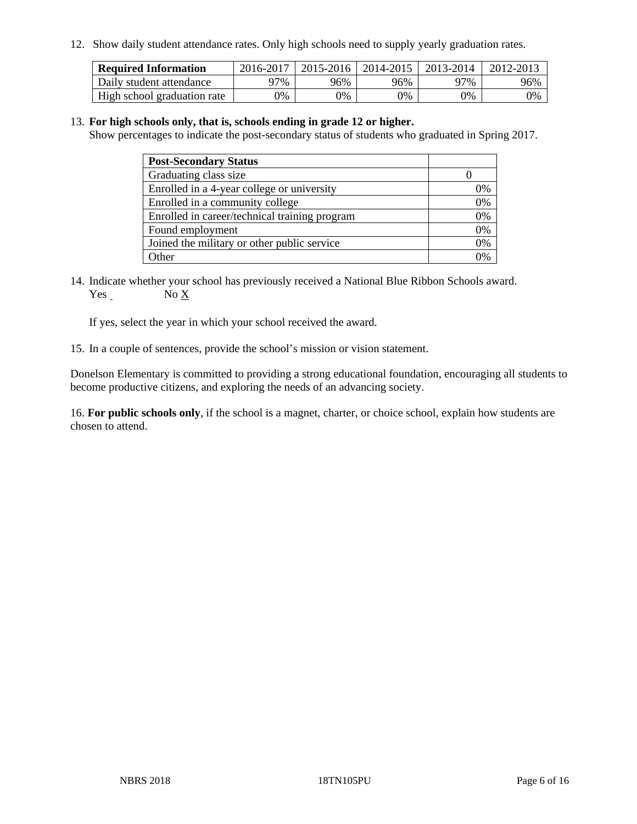12. Show daily student attendance rates. Only high schools need to supply yearly graduation rates.

| <b>Required Information</b> | 2016-2017 | $2015 - 2016$ | 2014-2015 | 2013-2014 | 2012-2013 |
|-----------------------------|-----------|---------------|-----------|-----------|-----------|
| Daily student attendance    | 97%       | 96%           | 96%       | 97%       | 96%       |
| High school graduation rate | 0%        | 0%            | 0%        | 0%        | 0%        |

### 13. **For high schools only, that is, schools ending in grade 12 or higher.**

Show percentages to indicate the post-secondary status of students who graduated in Spring 2017.

| <b>Post-Secondary Status</b>                  |    |
|-----------------------------------------------|----|
| Graduating class size                         |    |
| Enrolled in a 4-year college or university    | 0% |
| Enrolled in a community college               | 0% |
| Enrolled in career/technical training program | 0% |
| Found employment                              | 0% |
| Joined the military or other public service   | 0% |
| . Other                                       |    |

14. Indicate whether your school has previously received a National Blue Ribbon Schools award. Yes No X

If yes, select the year in which your school received the award.

15. In a couple of sentences, provide the school's mission or vision statement.

Donelson Elementary is committed to providing a strong educational foundation, encouraging all students to become productive citizens, and exploring the needs of an advancing society.

16. **For public schools only**, if the school is a magnet, charter, or choice school, explain how students are chosen to attend.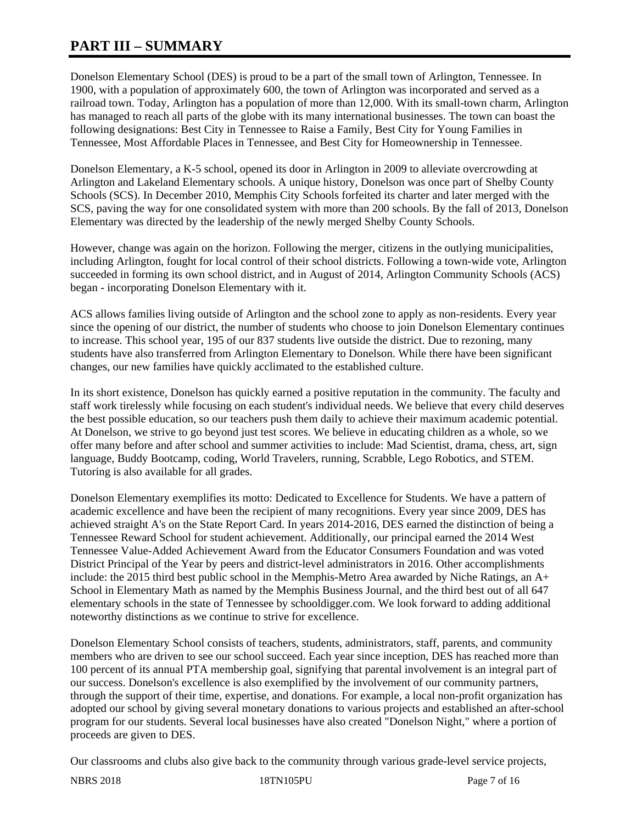# **PART III – SUMMARY**

Donelson Elementary School (DES) is proud to be a part of the small town of Arlington, Tennessee. In 1900, with a population of approximately 600, the town of Arlington was incorporated and served as a railroad town. Today, Arlington has a population of more than 12,000. With its small-town charm, Arlington has managed to reach all parts of the globe with its many international businesses. The town can boast the following designations: Best City in Tennessee to Raise a Family, Best City for Young Families in Tennessee, Most Affordable Places in Tennessee, and Best City for Homeownership in Tennessee.

Donelson Elementary, a K-5 school, opened its door in Arlington in 2009 to alleviate overcrowding at Arlington and Lakeland Elementary schools. A unique history, Donelson was once part of Shelby County Schools (SCS). In December 2010, Memphis City Schools forfeited its charter and later merged with the SCS, paving the way for one consolidated system with more than 200 schools. By the fall of 2013, Donelson Elementary was directed by the leadership of the newly merged Shelby County Schools.

However, change was again on the horizon. Following the merger, citizens in the outlying municipalities, including Arlington, fought for local control of their school districts. Following a town-wide vote, Arlington succeeded in forming its own school district, and in August of 2014, Arlington Community Schools (ACS) began - incorporating Donelson Elementary with it.

ACS allows families living outside of Arlington and the school zone to apply as non-residents. Every year since the opening of our district, the number of students who choose to join Donelson Elementary continues to increase. This school year, 195 of our 837 students live outside the district. Due to rezoning, many students have also transferred from Arlington Elementary to Donelson. While there have been significant changes, our new families have quickly acclimated to the established culture.

In its short existence, Donelson has quickly earned a positive reputation in the community. The faculty and staff work tirelessly while focusing on each student's individual needs. We believe that every child deserves the best possible education, so our teachers push them daily to achieve their maximum academic potential. At Donelson, we strive to go beyond just test scores. We believe in educating children as a whole, so we offer many before and after school and summer activities to include: Mad Scientist, drama, chess, art, sign language, Buddy Bootcamp, coding, World Travelers, running, Scrabble, Lego Robotics, and STEM. Tutoring is also available for all grades.

Donelson Elementary exemplifies its motto: Dedicated to Excellence for Students. We have a pattern of academic excellence and have been the recipient of many recognitions. Every year since 2009, DES has achieved straight A's on the State Report Card. In years 2014-2016, DES earned the distinction of being a Tennessee Reward School for student achievement. Additionally, our principal earned the 2014 West Tennessee Value-Added Achievement Award from the Educator Consumers Foundation and was voted District Principal of the Year by peers and district-level administrators in 2016. Other accomplishments include: the 2015 third best public school in the Memphis-Metro Area awarded by Niche Ratings, an A+ School in Elementary Math as named by the Memphis Business Journal, and the third best out of all 647 elementary schools in the state of Tennessee by schooldigger.com. We look forward to adding additional noteworthy distinctions as we continue to strive for excellence.

Donelson Elementary School consists of teachers, students, administrators, staff, parents, and community members who are driven to see our school succeed. Each year since inception, DES has reached more than 100 percent of its annual PTA membership goal, signifying that parental involvement is an integral part of our success. Donelson's excellence is also exemplified by the involvement of our community partners, through the support of their time, expertise, and donations. For example, a local non-profit organization has adopted our school by giving several monetary donations to various projects and established an after-school program for our students. Several local businesses have also created "Donelson Night," where a portion of proceeds are given to DES.

Our classrooms and clubs also give back to the community through various grade-level service projects,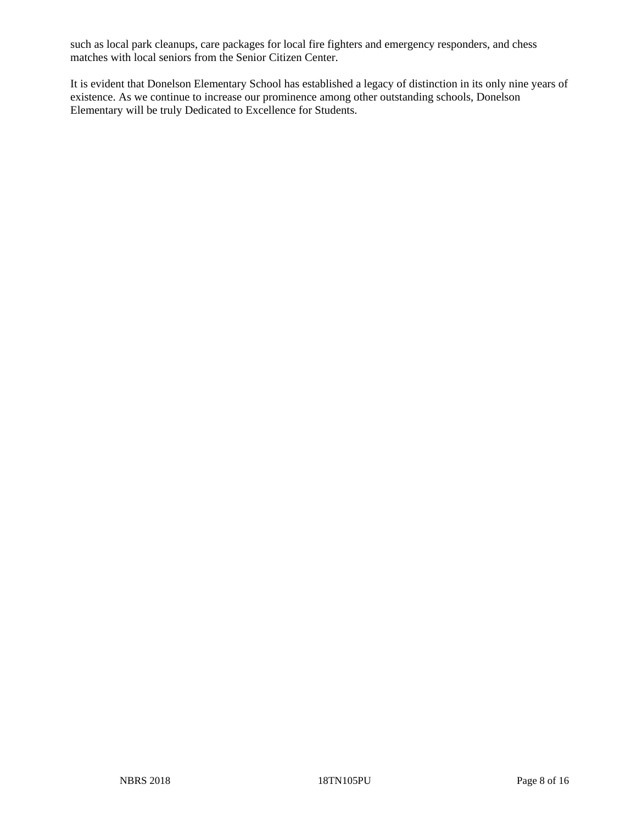such as local park cleanups, care packages for local fire fighters and emergency responders, and chess matches with local seniors from the Senior Citizen Center.

It is evident that Donelson Elementary School has established a legacy of distinction in its only nine years of existence. As we continue to increase our prominence among other outstanding schools, Donelson Elementary will be truly Dedicated to Excellence for Students.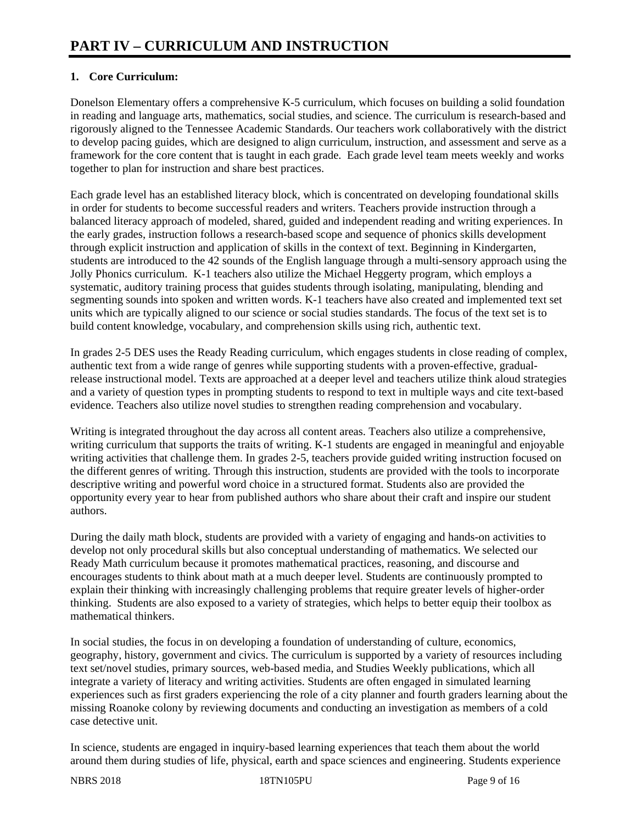# **1. Core Curriculum:**

Donelson Elementary offers a comprehensive K-5 curriculum, which focuses on building a solid foundation in reading and language arts, mathematics, social studies, and science. The curriculum is research-based and rigorously aligned to the Tennessee Academic Standards. Our teachers work collaboratively with the district to develop pacing guides, which are designed to align curriculum, instruction, and assessment and serve as a framework for the core content that is taught in each grade. Each grade level team meets weekly and works together to plan for instruction and share best practices.

Each grade level has an established literacy block, which is concentrated on developing foundational skills in order for students to become successful readers and writers. Teachers provide instruction through a balanced literacy approach of modeled, shared, guided and independent reading and writing experiences. In the early grades, instruction follows a research-based scope and sequence of phonics skills development through explicit instruction and application of skills in the context of text. Beginning in Kindergarten, students are introduced to the 42 sounds of the English language through a multi-sensory approach using the Jolly Phonics curriculum. K-1 teachers also utilize the Michael Heggerty program, which employs a systematic, auditory training process that guides students through isolating, manipulating, blending and segmenting sounds into spoken and written words. K-1 teachers have also created and implemented text set units which are typically aligned to our science or social studies standards. The focus of the text set is to build content knowledge, vocabulary, and comprehension skills using rich, authentic text.

In grades 2-5 DES uses the Ready Reading curriculum, which engages students in close reading of complex, authentic text from a wide range of genres while supporting students with a proven-effective, gradualrelease instructional model. Texts are approached at a deeper level and teachers utilize think aloud strategies and a variety of question types in prompting students to respond to text in multiple ways and cite text-based evidence. Teachers also utilize novel studies to strengthen reading comprehension and vocabulary.

Writing is integrated throughout the day across all content areas. Teachers also utilize a comprehensive, writing curriculum that supports the traits of writing. K-1 students are engaged in meaningful and enjoyable writing activities that challenge them. In grades 2-5, teachers provide guided writing instruction focused on the different genres of writing. Through this instruction, students are provided with the tools to incorporate descriptive writing and powerful word choice in a structured format. Students also are provided the opportunity every year to hear from published authors who share about their craft and inspire our student authors.

During the daily math block, students are provided with a variety of engaging and hands-on activities to develop not only procedural skills but also conceptual understanding of mathematics. We selected our Ready Math curriculum because it promotes mathematical practices, reasoning, and discourse and encourages students to think about math at a much deeper level. Students are continuously prompted to explain their thinking with increasingly challenging problems that require greater levels of higher-order thinking. Students are also exposed to a variety of strategies, which helps to better equip their toolbox as mathematical thinkers.

In social studies, the focus in on developing a foundation of understanding of culture, economics, geography, history, government and civics. The curriculum is supported by a variety of resources including text set/novel studies, primary sources, web-based media, and Studies Weekly publications, which all integrate a variety of literacy and writing activities. Students are often engaged in simulated learning experiences such as first graders experiencing the role of a city planner and fourth graders learning about the missing Roanoke colony by reviewing documents and conducting an investigation as members of a cold case detective unit.

In science, students are engaged in inquiry-based learning experiences that teach them about the world around them during studies of life, physical, earth and space sciences and engineering. Students experience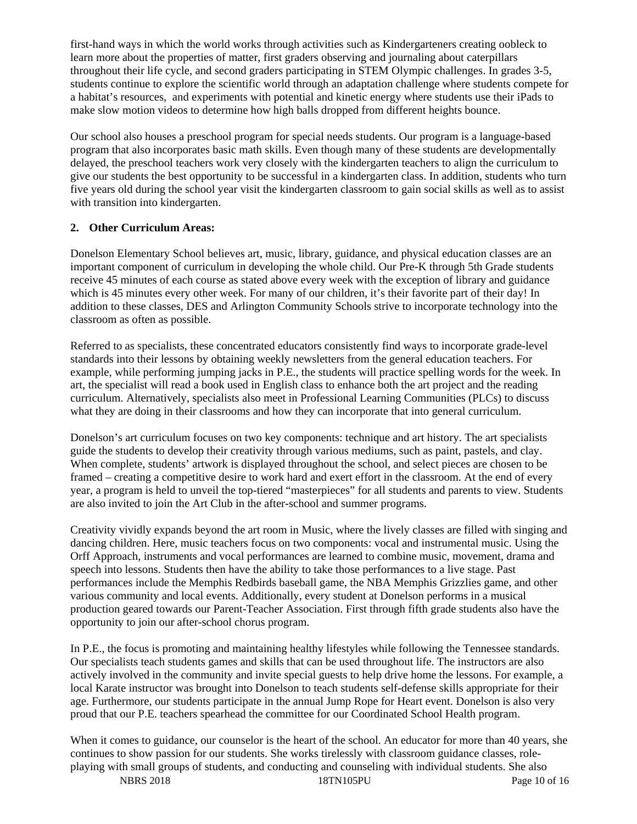first-hand ways in which the world works through activities such as Kindergarteners creating oobleck to learn more about the properties of matter, first graders observing and journaling about caterpillars throughout their life cycle, and second graders participating in STEM Olympic challenges. In grades 3-5, students continue to explore the scientific world through an adaptation challenge where students compete for a habitat's resources, and experiments with potential and kinetic energy where students use their iPads to make slow motion videos to determine how high balls dropped from different heights bounce.

Our school also houses a preschool program for special needs students. Our program is a language-based program that also incorporates basic math skills. Even though many of these students are developmentally delayed, the preschool teachers work very closely with the kindergarten teachers to align the curriculum to give our students the best opportunity to be successful in a kindergarten class. In addition, students who turn five years old during the school year visit the kindergarten classroom to gain social skills as well as to assist with transition into kindergarten.

# **2. Other Curriculum Areas:**

Donelson Elementary School believes art, music, library, guidance, and physical education classes are an important component of curriculum in developing the whole child. Our Pre-K through 5th Grade students receive 45 minutes of each course as stated above every week with the exception of library and guidance which is 45 minutes every other week. For many of our children, it's their favorite part of their day! In addition to these classes, DES and Arlington Community Schools strive to incorporate technology into the classroom as often as possible.

Referred to as specialists, these concentrated educators consistently find ways to incorporate grade-level standards into their lessons by obtaining weekly newsletters from the general education teachers. For example, while performing jumping jacks in P.E., the students will practice spelling words for the week. In art, the specialist will read a book used in English class to enhance both the art project and the reading curriculum. Alternatively, specialists also meet in Professional Learning Communities (PLCs) to discuss what they are doing in their classrooms and how they can incorporate that into general curriculum.

Donelson's art curriculum focuses on two key components: technique and art history. The art specialists guide the students to develop their creativity through various mediums, such as paint, pastels, and clay. When complete, students' artwork is displayed throughout the school, and select pieces are chosen to be framed – creating a competitive desire to work hard and exert effort in the classroom. At the end of every year, a program is held to unveil the top-tiered "masterpieces" for all students and parents to view. Students are also invited to join the Art Club in the after-school and summer programs.

Creativity vividly expands beyond the art room in Music, where the lively classes are filled with singing and dancing children. Here, music teachers focus on two components: vocal and instrumental music. Using the Orff Approach, instruments and vocal performances are learned to combine music, movement, drama and speech into lessons. Students then have the ability to take those performances to a live stage. Past performances include the Memphis Redbirds baseball game, the NBA Memphis Grizzlies game, and other various community and local events. Additionally, every student at Donelson performs in a musical production geared towards our Parent-Teacher Association. First through fifth grade students also have the opportunity to join our after-school chorus program.

In P.E., the focus is promoting and maintaining healthy lifestyles while following the Tennessee standards. Our specialists teach students games and skills that can be used throughout life. The instructors are also actively involved in the community and invite special guests to help drive home the lessons. For example, a local Karate instructor was brought into Donelson to teach students self-defense skills appropriate for their age. Furthermore, our students participate in the annual Jump Rope for Heart event. Donelson is also very proud that our P.E. teachers spearhead the committee for our Coordinated School Health program.

When it comes to guidance, our counselor is the heart of the school. An educator for more than 40 years, she continues to show passion for our students. She works tirelessly with classroom guidance classes, roleplaying with small groups of students, and conducting and counseling with individual students. She also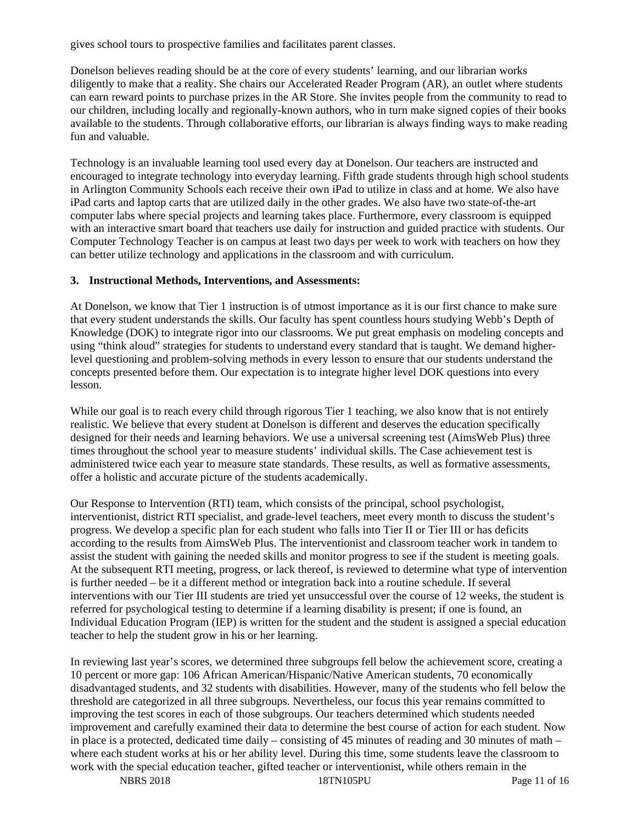gives school tours to prospective families and facilitates parent classes.

Donelson believes reading should be at the core of every students' learning, and our librarian works diligently to make that a reality. She chairs our Accelerated Reader Program (AR), an outlet where students can earn reward points to purchase prizes in the AR Store. She invites people from the community to read to our children, including locally and regionally-known authors, who in turn make signed copies of their books available to the students. Through collaborative efforts, our librarian is always finding ways to make reading fun and valuable.

Technology is an invaluable learning tool used every day at Donelson. Our teachers are instructed and encouraged to integrate technology into everyday learning. Fifth grade students through high school students in Arlington Community Schools each receive their own iPad to utilize in class and at home. We also have iPad carts and laptop carts that are utilized daily in the other grades. We also have two state-of-the-art computer labs where special projects and learning takes place. Furthermore, every classroom is equipped with an interactive smart board that teachers use daily for instruction and guided practice with students. Our Computer Technology Teacher is on campus at least two days per week to work with teachers on how they can better utilize technology and applications in the classroom and with curriculum.

### **3. Instructional Methods, Interventions, and Assessments:**

At Donelson, we know that Tier 1 instruction is of utmost importance as it is our first chance to make sure that every student understands the skills. Our faculty has spent countless hours studying Webb's Depth of Knowledge (DOK) to integrate rigor into our classrooms. We put great emphasis on modeling concepts and using "think aloud" strategies for students to understand every standard that is taught. We demand higherlevel questioning and problem-solving methods in every lesson to ensure that our students understand the concepts presented before them. Our expectation is to integrate higher level DOK questions into every lesson.

While our goal is to reach every child through rigorous Tier 1 teaching, we also know that is not entirely realistic. We believe that every student at Donelson is different and deserves the education specifically designed for their needs and learning behaviors. We use a universal screening test (AimsWeb Plus) three times throughout the school year to measure students' individual skills. The Case achievement test is administered twice each year to measure state standards. These results, as well as formative assessments, offer a holistic and accurate picture of the students academically.

Our Response to Intervention (RTI) team, which consists of the principal, school psychologist, interventionist, district RTI specialist, and grade-level teachers, meet every month to discuss the student's progress. We develop a specific plan for each student who falls into Tier II or Tier III or has deficits according to the results from AimsWeb Plus. The interventionist and classroom teacher work in tandem to assist the student with gaining the needed skills and monitor progress to see if the student is meeting goals. At the subsequent RTI meeting, progress, or lack thereof, is reviewed to determine what type of intervention is further needed – be it a different method or integration back into a routine schedule. If several interventions with our Tier III students are tried yet unsuccessful over the course of 12 weeks, the student is referred for psychological testing to determine if a learning disability is present; if one is found, an Individual Education Program (IEP) is written for the student and the student is assigned a special education teacher to help the student grow in his or her learning.

In reviewing last year's scores, we determined three subgroups fell below the achievement score, creating a 10 percent or more gap: 106 African American/Hispanic/Native American students, 70 economically disadvantaged students, and 32 students with disabilities. However, many of the students who fell below the threshold are categorized in all three subgroups. Nevertheless, our focus this year remains committed to improving the test scores in each of those subgroups. Our teachers determined which students needed improvement and carefully examined their data to determine the best course of action for each student. Now in place is a protected, dedicated time daily – consisting of 45 minutes of reading and 30 minutes of math – where each student works at his or her ability level. During this time, some students leave the classroom to work with the special education teacher, gifted teacher or interventionist, while others remain in the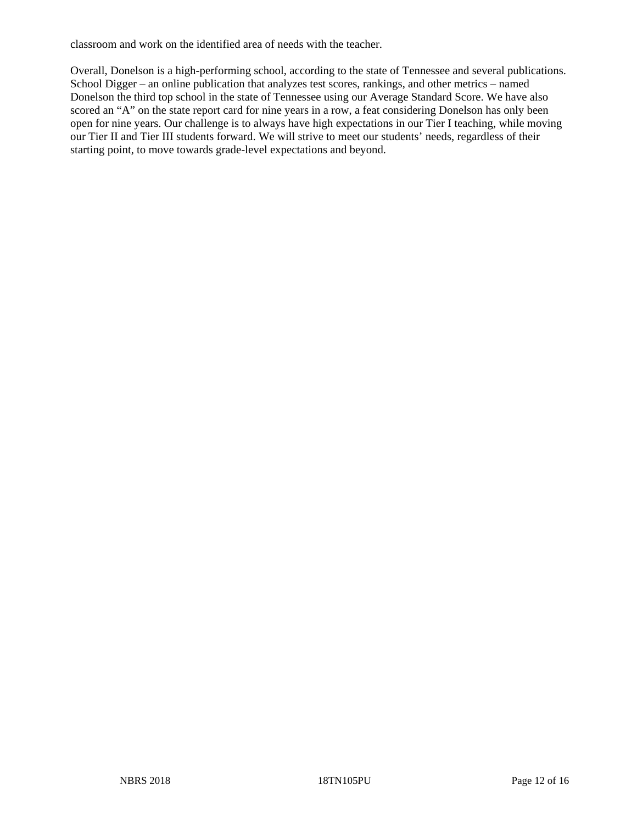classroom and work on the identified area of needs with the teacher.

Overall, Donelson is a high-performing school, according to the state of Tennessee and several publications. School Digger – an online publication that analyzes test scores, rankings, and other metrics – named Donelson the third top school in the state of Tennessee using our Average Standard Score. We have also scored an "A" on the state report card for nine years in a row, a feat considering Donelson has only been open for nine years. Our challenge is to always have high expectations in our Tier I teaching, while moving our Tier II and Tier III students forward. We will strive to meet our students' needs, regardless of their starting point, to move towards grade-level expectations and beyond.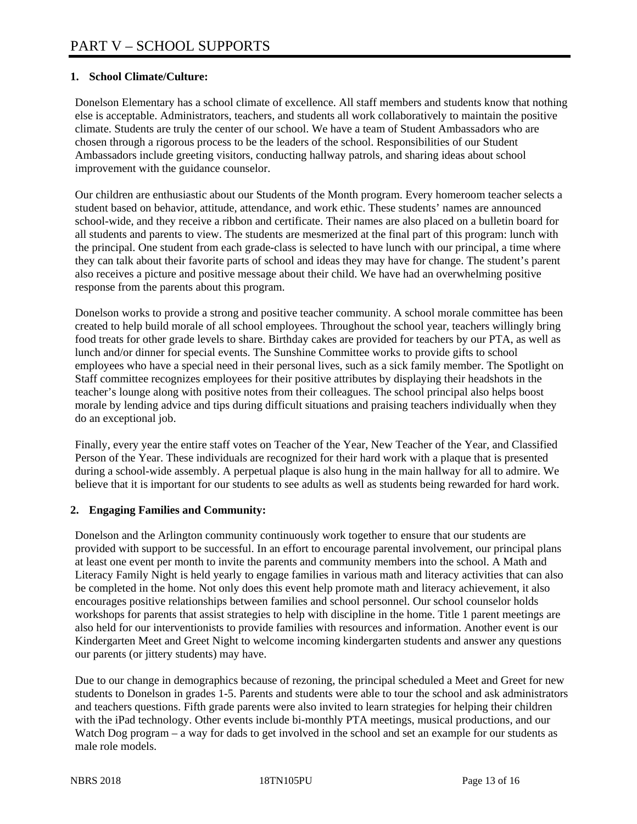# **1. School Climate/Culture:**

Donelson Elementary has a school climate of excellence. All staff members and students know that nothing else is acceptable. Administrators, teachers, and students all work collaboratively to maintain the positive climate. Students are truly the center of our school. We have a team of Student Ambassadors who are chosen through a rigorous process to be the leaders of the school. Responsibilities of our Student Ambassadors include greeting visitors, conducting hallway patrols, and sharing ideas about school improvement with the guidance counselor.

Our children are enthusiastic about our Students of the Month program. Every homeroom teacher selects a student based on behavior, attitude, attendance, and work ethic. These students' names are announced school-wide, and they receive a ribbon and certificate. Their names are also placed on a bulletin board for all students and parents to view. The students are mesmerized at the final part of this program: lunch with the principal. One student from each grade-class is selected to have lunch with our principal, a time where they can talk about their favorite parts of school and ideas they may have for change. The student's parent also receives a picture and positive message about their child. We have had an overwhelming positive response from the parents about this program.

Donelson works to provide a strong and positive teacher community. A school morale committee has been created to help build morale of all school employees. Throughout the school year, teachers willingly bring food treats for other grade levels to share. Birthday cakes are provided for teachers by our PTA, as well as lunch and/or dinner for special events. The Sunshine Committee works to provide gifts to school employees who have a special need in their personal lives, such as a sick family member. The Spotlight on Staff committee recognizes employees for their positive attributes by displaying their headshots in the teacher's lounge along with positive notes from their colleagues. The school principal also helps boost morale by lending advice and tips during difficult situations and praising teachers individually when they do an exceptional job.

Finally, every year the entire staff votes on Teacher of the Year, New Teacher of the Year, and Classified Person of the Year. These individuals are recognized for their hard work with a plaque that is presented during a school-wide assembly. A perpetual plaque is also hung in the main hallway for all to admire. We believe that it is important for our students to see adults as well as students being rewarded for hard work.

## **2. Engaging Families and Community:**

Donelson and the Arlington community continuously work together to ensure that our students are provided with support to be successful. In an effort to encourage parental involvement, our principal plans at least one event per month to invite the parents and community members into the school. A Math and Literacy Family Night is held yearly to engage families in various math and literacy activities that can also be completed in the home. Not only does this event help promote math and literacy achievement, it also encourages positive relationships between families and school personnel. Our school counselor holds workshops for parents that assist strategies to help with discipline in the home. Title 1 parent meetings are also held for our interventionists to provide families with resources and information. Another event is our Kindergarten Meet and Greet Night to welcome incoming kindergarten students and answer any questions our parents (or jittery students) may have.

Due to our change in demographics because of rezoning, the principal scheduled a Meet and Greet for new students to Donelson in grades 1-5. Parents and students were able to tour the school and ask administrators and teachers questions. Fifth grade parents were also invited to learn strategies for helping their children with the iPad technology. Other events include bi-monthly PTA meetings, musical productions, and our Watch Dog program – a way for dads to get involved in the school and set an example for our students as male role models.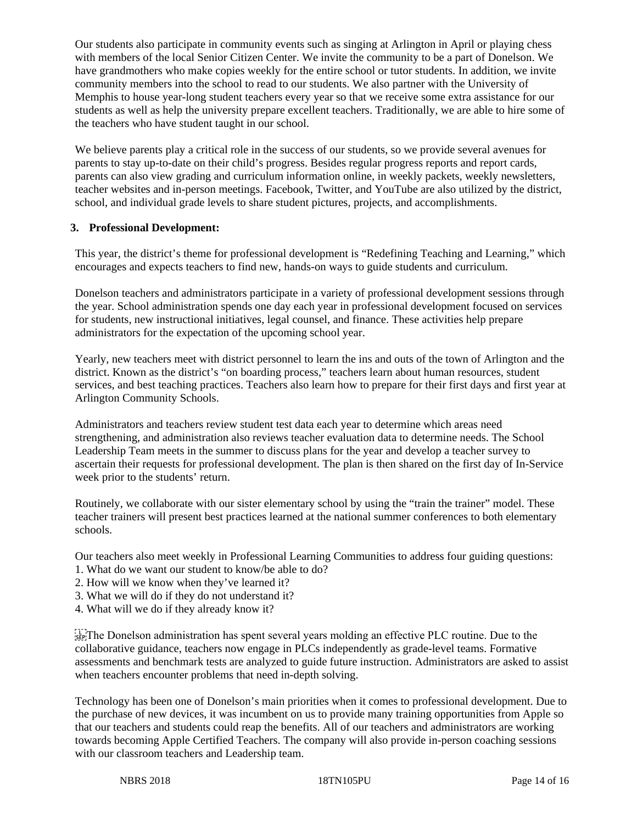Our students also participate in community events such as singing at Arlington in April or playing chess with members of the local Senior Citizen Center. We invite the community to be a part of Donelson. We have grandmothers who make copies weekly for the entire school or tutor students. In addition, we invite community members into the school to read to our students. We also partner with the University of Memphis to house year-long student teachers every year so that we receive some extra assistance for our students as well as help the university prepare excellent teachers. Traditionally, we are able to hire some of the teachers who have student taught in our school.

We believe parents play a critical role in the success of our students, so we provide several avenues for parents to stay up-to-date on their child's progress. Besides regular progress reports and report cards, parents can also view grading and curriculum information online, in weekly packets, weekly newsletters, teacher websites and in-person meetings. Facebook, Twitter, and YouTube are also utilized by the district, school, and individual grade levels to share student pictures, projects, and accomplishments.

## **3. Professional Development:**

This year, the district's theme for professional development is "Redefining Teaching and Learning," which encourages and expects teachers to find new, hands-on ways to guide students and curriculum.

Donelson teachers and administrators participate in a variety of professional development sessions through the year. School administration spends one day each year in professional development focused on services for students, new instructional initiatives, legal counsel, and finance. These activities help prepare administrators for the expectation of the upcoming school year.

Yearly, new teachers meet with district personnel to learn the ins and outs of the town of Arlington and the district. Known as the district's "on boarding process," teachers learn about human resources, student services, and best teaching practices. Teachers also learn how to prepare for their first days and first year at Arlington Community Schools.

Administrators and teachers review student test data each year to determine which areas need strengthening, and administration also reviews teacher evaluation data to determine needs. The School Leadership Team meets in the summer to discuss plans for the year and develop a teacher survey to ascertain their requests for professional development. The plan is then shared on the first day of In-Service week prior to the students' return.

Routinely, we collaborate with our sister elementary school by using the "train the trainer" model. These teacher trainers will present best practices learned at the national summer conferences to both elementary schools.

Our teachers also meet weekly in Professional Learning Communities to address four guiding questions:

- 1. What do we want our student to know/be able to do?
- 2. How will we know when they've learned it?
- 3. What we will do if they do not understand it?
- 4. What will we do if they already know it?

 $T_{\text{SEP}}^{\text{T}}$ The Donelson administration has spent several years molding an effective PLC routine. Due to the collaborative guidance, teachers now engage in PLCs independently as grade-level teams. Formative assessments and benchmark tests are analyzed to guide future instruction. Administrators are asked to assist when teachers encounter problems that need in-depth solving.

Technology has been one of Donelson's main priorities when it comes to professional development. Due to the purchase of new devices, it was incumbent on us to provide many training opportunities from Apple so that our teachers and students could reap the benefits. All of our teachers and administrators are working towards becoming Apple Certified Teachers. The company will also provide in-person coaching sessions with our classroom teachers and Leadership team.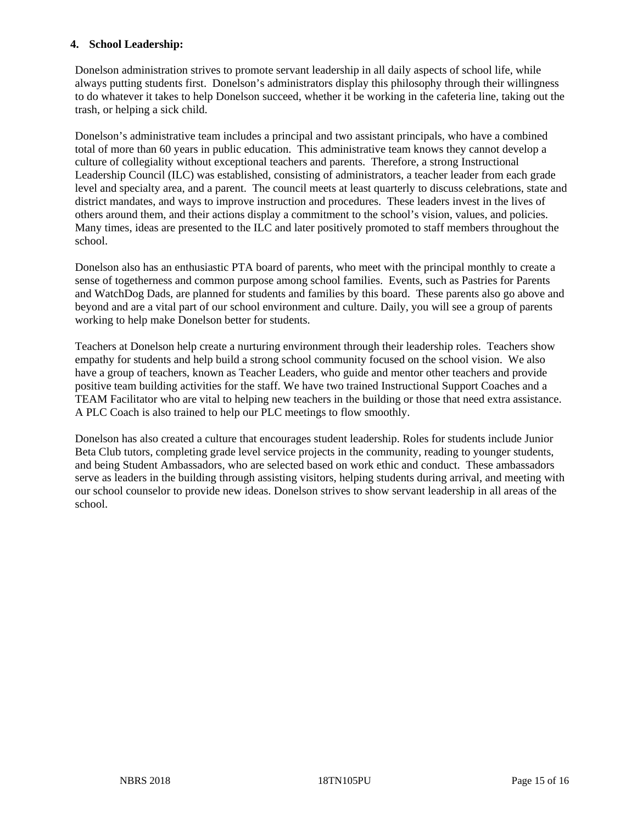## **4. School Leadership:**

Donelson administration strives to promote servant leadership in all daily aspects of school life, while always putting students first. Donelson's administrators display this philosophy through their willingness to do whatever it takes to help Donelson succeed, whether it be working in the cafeteria line, taking out the trash, or helping a sick child.

Donelson's administrative team includes a principal and two assistant principals, who have a combined total of more than 60 years in public education. This administrative team knows they cannot develop a culture of collegiality without exceptional teachers and parents. Therefore, a strong Instructional Leadership Council (ILC) was established, consisting of administrators, a teacher leader from each grade level and specialty area, and a parent. The council meets at least quarterly to discuss celebrations, state and district mandates, and ways to improve instruction and procedures. These leaders invest in the lives of others around them, and their actions display a commitment to the school's vision, values, and policies. Many times, ideas are presented to the ILC and later positively promoted to staff members throughout the school.

Donelson also has an enthusiastic PTA board of parents, who meet with the principal monthly to create a sense of togetherness and common purpose among school families. Events, such as Pastries for Parents and WatchDog Dads, are planned for students and families by this board. These parents also go above and beyond and are a vital part of our school environment and culture. Daily, you will see a group of parents working to help make Donelson better for students.

Teachers at Donelson help create a nurturing environment through their leadership roles. Teachers show empathy for students and help build a strong school community focused on the school vision. We also have a group of teachers, known as Teacher Leaders, who guide and mentor other teachers and provide positive team building activities for the staff. We have two trained Instructional Support Coaches and a TEAM Facilitator who are vital to helping new teachers in the building or those that need extra assistance. A PLC Coach is also trained to help our PLC meetings to flow smoothly.

Donelson has also created a culture that encourages student leadership. Roles for students include Junior Beta Club tutors, completing grade level service projects in the community, reading to younger students, and being Student Ambassadors, who are selected based on work ethic and conduct. These ambassadors serve as leaders in the building through assisting visitors, helping students during arrival, and meeting with our school counselor to provide new ideas. Donelson strives to show servant leadership in all areas of the school.